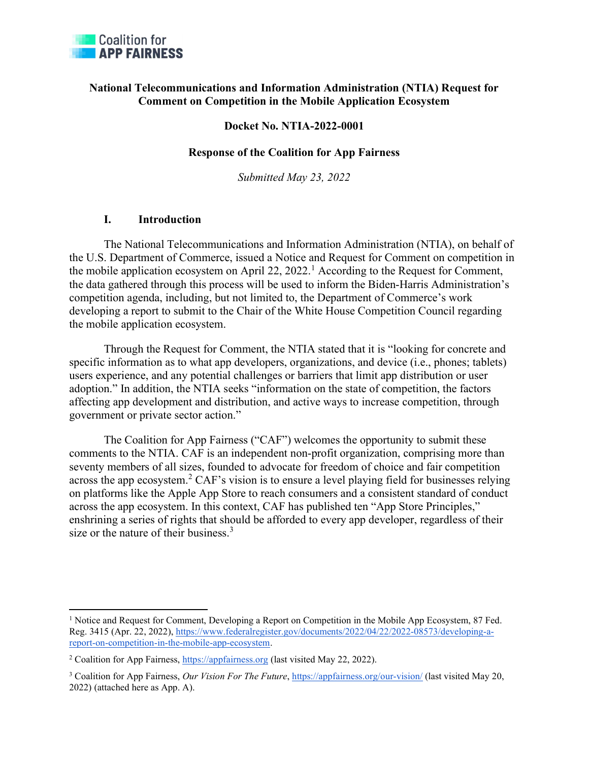

### National Telecommunications and Information Administration (NTIA) Request for Comment on Competition in the Mobile Application Ecosystem

### Docket No. NTIA-2022-0001

#### Response of the Coalition for App Fairness

Submitted May 23, 2022

### I. Introduction

The National Telecommunications and Information Administration (NTIA), on behalf of the U.S. Department of Commerce, issued a Notice and Request for Comment on competition in the mobile application ecosystem on April 22, 2022.<sup>1</sup> According to the Request for Comment, the data gathered through this process will be used to inform the Biden-Harris Administration's competition agenda, including, but not limited to, the Department of Commerce's work developing a report to submit to the Chair of the White House Competition Council regarding the mobile application ecosystem.

Through the Request for Comment, the NTIA stated that it is "looking for concrete and specific information as to what app developers, organizations, and device (i.e., phones; tablets) users experience, and any potential challenges or barriers that limit app distribution or user adoption." In addition, the NTIA seeks "information on the state of competition, the factors affecting app development and distribution, and active ways to increase competition, through government or private sector action."

The Coalition for App Fairness ("CAF") welcomes the opportunity to submit these comments to the NTIA. CAF is an independent non-profit organization, comprising more than seventy members of all sizes, founded to advocate for freedom of choice and fair competition across the app ecosystem.<sup>2</sup> CAF's vision is to ensure a level playing field for businesses relying on platforms like the Apple App Store to reach consumers and a consistent standard of conduct across the app ecosystem. In this context, CAF has published ten "App Store Principles," enshrining a series of rights that should be afforded to every app developer, regardless of their size or the nature of their business. $3$ 

<sup>&</sup>lt;sup>1</sup> Notice and Request for Comment, Developing a Report on Competition in the Mobile App Ecosystem, 87 Fed. Reg. 3415 (Apr. 22, 2022), https://www.federalregister.gov/documents/2022/04/22/2022-08573/developing-areport-on-competition-in-the-mobile-app-ecosystem.

<sup>&</sup>lt;sup>2</sup> Coalition for App Fairness, https://appfairness.org (last visited May 22, 2022).

<sup>&</sup>lt;sup>3</sup> Coalition for App Fairness, Our Vision For The Future, https://appfairness.org/our-vision/ (last visited May 20, 2022) (attached here as App. A).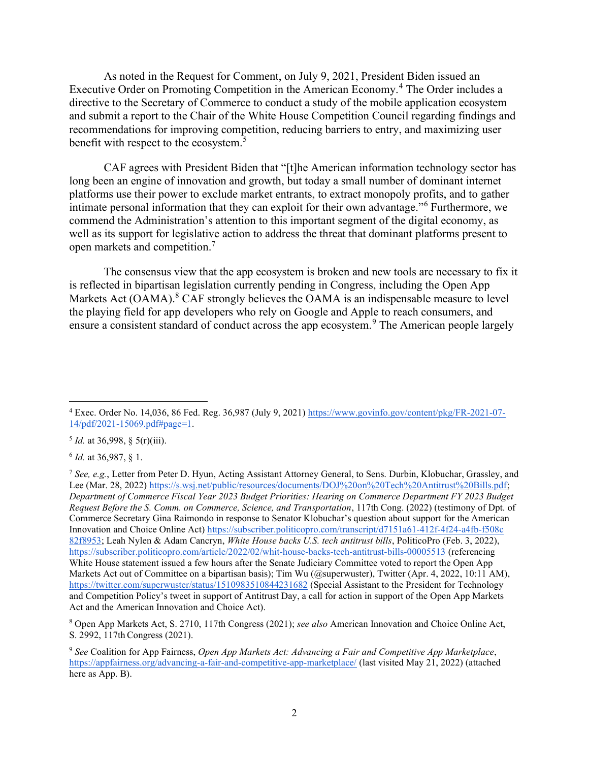As noted in the Request for Comment, on July 9, 2021, President Biden issued an Executive Order on Promoting Competition in the American Economy.<sup>4</sup> The Order includes a directive to the Secretary of Commerce to conduct a study of the mobile application ecosystem and submit a report to the Chair of the White House Competition Council regarding findings and recommendations for improving competition, reducing barriers to entry, and maximizing user benefit with respect to the ecosystem.<sup>5</sup>

CAF agrees with President Biden that "[t]he American information technology sector has long been an engine of innovation and growth, but today a small number of dominant internet platforms use their power to exclude market entrants, to extract monopoly profits, and to gather intimate personal information that they can exploit for their own advantage."<sup>6</sup> Furthermore, we commend the Administration's attention to this important segment of the digital economy, as well as its support for legislative action to address the threat that dominant platforms present to open markets and competition.<sup>7</sup>

The consensus view that the app ecosystem is broken and new tools are necessary to fix it is reflected in bipartisan legislation currently pending in Congress, including the Open App Markets Act (OAMA). $8$  CAF strongly believes the OAMA is an indispensable measure to level the playing field for app developers who rely on Google and Apple to reach consumers, and ensure a consistent standard of conduct across the app ecosystem.<sup>9</sup> The American people largely

 $5$  *Id.* at 36,998, § 5(r)(iii).

 $6$  *Id.* at 36,987, § 1.

 $^4$  Exec. Order No. 14,036, 86 Fed. Reg. 36,987 (July 9, 2021) https://www.govinfo.gov/content/pkg/FR-2021-07-14/pdf/2021-15069.pdf#page=1.

<sup>&</sup>lt;sup>7</sup> See, e.g., Letter from Peter D. Hyun, Acting Assistant Attorney General, to Sens. Durbin, Klobuchar, Grassley, and Lee (Mar. 28, 2022) https://s.wsj.net/public/resources/documents/DOJ%20on%20Tech%20Antitrust%20Bills.pdf; Department of Commerce Fiscal Year 2023 Budget Priorities: Hearing on Commerce Department FY 2023 Budget Request Before the S. Comm. on Commerce, Science, and Transportation, 117th Cong. (2022) (testimony of Dpt. of Commerce Secretary Gina Raimondo in response to Senator Klobuchar's question about support for the American Innovation and Choice Online Act) https://subscriber.politicopro.com/transcript/d7151a61-412f-4f24-a4fb-f508c 82f8953; Leah Nylen & Adam Cancryn, White House backs U.S. tech antitrust bills, PoliticoPro (Feb. 3, 2022), https://subscriber.politicopro.com/article/2022/02/whit-house-backs-tech-antitrust-bills-00005513 (referencing White House statement issued a few hours after the Senate Judiciary Committee voted to report the Open App Markets Act out of Committee on a bipartisan basis); Tim Wu (@superwuster), Twitter (Apr. 4, 2022, 10:11 AM), https://twitter.com/superwuster/status/1510983510844231682 (Special Assistant to the President for Technology and Competition Policy's tweet in support of Antitrust Day, a call for action in support of the Open App Markets Act and the American Innovation and Choice Act).

<sup>&</sup>lt;sup>8</sup> Open App Markets Act, S. 2710, 117th Congress (2021); see also American Innovation and Choice Online Act, S. 2992, 117th Congress (2021).

<sup>&</sup>lt;sup>9</sup> See Coalition for App Fairness, Open App Markets Act: Advancing a Fair and Competitive App Marketplace, https://appfairness.org/advancing-a-fair-and-competitive-app-marketplace/ (last visited May 21, 2022) (attached here as App. B).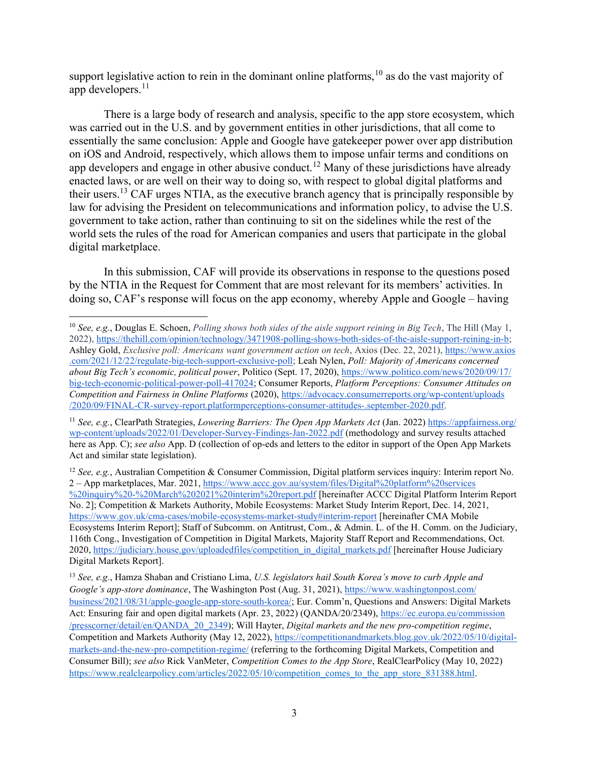support legislative action to rein in the dominant online platforms,  $10$  as do the vast majority of app developers. $^{11}$ 

There is a large body of research and analysis, specific to the app store ecosystem, which was carried out in the U.S. and by government entities in other jurisdictions, that all come to essentially the same conclusion: Apple and Google have gatekeeper power over app distribution on iOS and Android, respectively, which allows them to impose unfair terms and conditions on app developers and engage in other abusive conduct.<sup>12</sup> Many of these jurisdictions have already enacted laws, or are well on their way to doing so, with respect to global digital platforms and their users.<sup>13</sup> CAF urges NTIA, as the executive branch agency that is principally responsible by law for advising the President on telecommunications and information policy, to advise the U.S. government to take action, rather than continuing to sit on the sidelines while the rest of the world sets the rules of the road for American companies and users that participate in the global digital marketplace.

In this submission, CAF will provide its observations in response to the questions posed by the NTIA in the Request for Comment that are most relevant for its members' activities. In doing so, CAF's response will focus on the app economy, whereby Apple and Google – having

<sup>11</sup> See, e.g., ClearPath Strategies, *Lowering Barriers: The Open App Markets Act* (Jan. 2022) https://appfairness.org/ wp-content/uploads/2022/01/Developer-Survey-Findings-Jan-2022.pdf (methodology and survey results attached here as App. C); see also App. D (collection of op-eds and letters to the editor in support of the Open App Markets Act and similar state legislation).

<sup>12</sup> See, e.g., Australian Competition & Consumer Commission, Digital platform services inquiry: Interim report No. 2 – App marketplaces, Mar. 2021, https://www.accc.gov.au/system/files/Digital%20platform%20services %20inquiry%20-%20March%202021%20interim%20report.pdf [hereinafter ACCC Digital Platform Interim Report No. 2]; Competition & Markets Authority, Mobile Ecosystems: Market Study Interim Report, Dec. 14, 2021, https://www.gov.uk/cma-cases/mobile-ecosystems-market-study#interim-report [hereinafter CMA Mobile Ecosystems Interim Report]; Staff of Subcomm. on Antitrust, Com., & Admin. L. of the H. Comm. on the Judiciary, 116th Cong., Investigation of Competition in Digital Markets, Majority Staff Report and Recommendations, Oct. 2020, https://judiciary.house.gov/uploadedfiles/competition\_in\_digital\_markets.pdf [hereinafter House Judiciary Digital Markets Report].

<sup>13</sup> See, e.g., Hamza Shaban and Cristiano Lima, U.S. legislators hail South Korea's move to curb Apple and Google's app-store dominance, The Washington Post (Aug. 31, 2021), https://www.washingtonpost.com/ business/2021/08/31/apple-google-app-store-south-korea/; Eur. Comm'n, Questions and Answers: Digital Markets Act: Ensuring fair and open digital markets (Apr. 23, 2022) (QANDA/20/2349), https://ec.europa.eu/commission /presscorner/detail/en/QANDA\_20\_2349); Will Hayter, Digital markets and the new pro-competition regime, Competition and Markets Authority (May 12, 2022), https://competitionandmarkets.blog.gov.uk/2022/05/10/digitalmarkets-and-the-new-pro-competition-regime/ (referring to the forthcoming Digital Markets, Competition and Consumer Bill); see also Rick VanMeter, Competition Comes to the App Store, RealClearPolicy (May 10, 2022) https://www.realclearpolicy.com/articles/2022/05/10/competition\_comes\_to\_the\_app\_store\_831388.html.

 $10$  See, e.g., Douglas E. Schoen, Polling shows both sides of the aisle support reining in Big Tech, The Hill (May 1, 2022), https://thehill.com/opinion/technology/3471908-polling-shows-both-sides-of-the-aisle-support-reining-in-b; Ashley Gold, Exclusive poll: Americans want government action on tech, Axios (Dec. 22, 2021), https://www.axios .com/2021/12/22/regulate-big-tech-support-exclusive-poll; Leah Nylen, Poll: Majority of Americans concerned about Big Tech's economic, political power, Politico (Sept. 17, 2020), https://www.politico.com/news/2020/09/17/ big-tech-economic-political-power-poll-417024; Consumer Reports, Platform Perceptions: Consumer Attitudes on Competition and Fairness in Online Platforms (2020), https://advocacy.consumerreports.org/wp-content/uploads /2020/09/FINAL-CR-survey-report.platformperceptions-consumer-attitudes-.september-2020.pdf.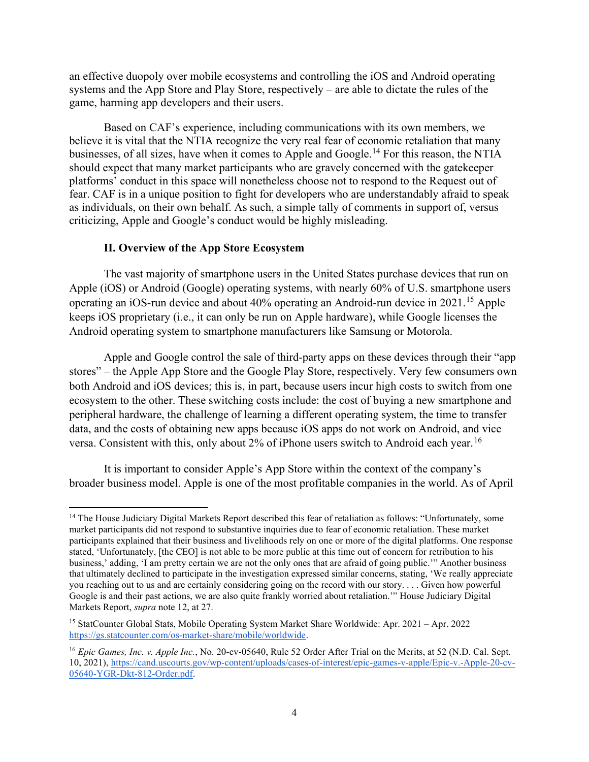an effective duopoly over mobile ecosystems and controlling the iOS and Android operating systems and the App Store and Play Store, respectively – are able to dictate the rules of the game, harming app developers and their users.

Based on CAF's experience, including communications with its own members, we believe it is vital that the NTIA recognize the very real fear of economic retaliation that many businesses, of all sizes, have when it comes to Apple and Google.<sup>14</sup> For this reason, the NTIA should expect that many market participants who are gravely concerned with the gatekeeper platforms' conduct in this space will nonetheless choose not to respond to the Request out of fear. CAF is in a unique position to fight for developers who are understandably afraid to speak as individuals, on their own behalf. As such, a simple tally of comments in support of, versus criticizing, Apple and Google's conduct would be highly misleading.

### II. Overview of the App Store Ecosystem

The vast majority of smartphone users in the United States purchase devices that run on Apple (iOS) or Android (Google) operating systems, with nearly 60% of U.S. smartphone users operating an iOS-run device and about 40% operating an Android-run device in 2021.<sup>15</sup> Apple keeps iOS proprietary (i.e., it can only be run on Apple hardware), while Google licenses the Android operating system to smartphone manufacturers like Samsung or Motorola.

 Apple and Google control the sale of third-party apps on these devices through their "app stores" – the Apple App Store and the Google Play Store, respectively. Very few consumers own both Android and iOS devices; this is, in part, because users incur high costs to switch from one ecosystem to the other. These switching costs include: the cost of buying a new smartphone and peripheral hardware, the challenge of learning a different operating system, the time to transfer data, and the costs of obtaining new apps because iOS apps do not work on Android, and vice versa. Consistent with this, only about  $2\%$  of iPhone users switch to Android each year.<sup>16</sup>

It is important to consider Apple's App Store within the context of the company's broader business model. Apple is one of the most profitable companies in the world. As of April

<sup>&</sup>lt;sup>14</sup> The House Judiciary Digital Markets Report described this fear of retaliation as follows: "Unfortunately, some market participants did not respond to substantive inquiries due to fear of economic retaliation. These market participants explained that their business and livelihoods rely on one or more of the digital platforms. One response stated, 'Unfortunately, [the CEO] is not able to be more public at this time out of concern for retribution to his business,' adding, 'I am pretty certain we are not the only ones that are afraid of going public.'" Another business that ultimately declined to participate in the investigation expressed similar concerns, stating, 'We really appreciate you reaching out to us and are certainly considering going on the record with our story. . . . Given how powerful Google is and their past actions, we are also quite frankly worried about retaliation.'" House Judiciary Digital Markets Report, supra note 12, at 27.

<sup>15</sup> StatCounter Global Stats, Mobile Operating System Market Share Worldwide: Apr. 2021 – Apr. 2022 https://gs.statcounter.com/os-market-share/mobile/worldwide.

<sup>&</sup>lt;sup>16</sup> Epic Games, Inc. v. Apple Inc., No. 20-cv-05640, Rule 52 Order After Trial on the Merits, at 52 (N.D. Cal. Sept. 10, 2021), https://cand.uscourts.gov/wp-content/uploads/cases-of-interest/epic-games-v-apple/Epic-v.-Apple-20-cv-05640-YGR-Dkt-812-Order.pdf.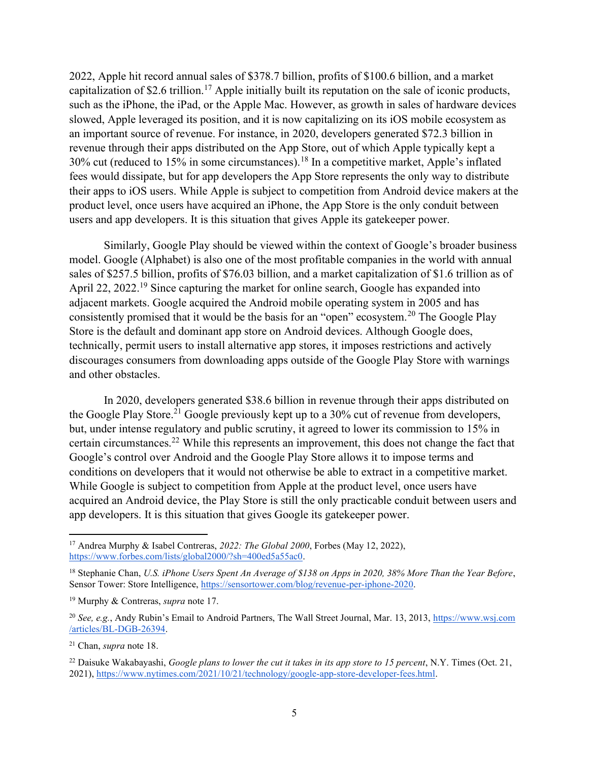2022, Apple hit record annual sales of \$378.7 billion, profits of \$100.6 billion, and a market capitalization of \$2.6 trillion.<sup>17</sup> Apple initially built its reputation on the sale of iconic products, such as the iPhone, the iPad, or the Apple Mac. However, as growth in sales of hardware devices slowed, Apple leveraged its position, and it is now capitalizing on its iOS mobile ecosystem as an important source of revenue. For instance, in 2020, developers generated \$72.3 billion in revenue through their apps distributed on the App Store, out of which Apple typically kept a 30% cut (reduced to 15% in some circumstances).<sup>18</sup> In a competitive market, Apple's inflated fees would dissipate, but for app developers the App Store represents the only way to distribute their apps to iOS users. While Apple is subject to competition from Android device makers at the product level, once users have acquired an iPhone, the App Store is the only conduit between users and app developers. It is this situation that gives Apple its gatekeeper power.

 Similarly, Google Play should be viewed within the context of Google's broader business model. Google (Alphabet) is also one of the most profitable companies in the world with annual sales of \$257.5 billion, profits of \$76.03 billion, and a market capitalization of \$1.6 trillion as of April 22, 2022.<sup>19</sup> Since capturing the market for online search, Google has expanded into adjacent markets. Google acquired the Android mobile operating system in 2005 and has consistently promised that it would be the basis for an "open" ecosystem.<sup>20</sup> The Google Play Store is the default and dominant app store on Android devices. Although Google does, technically, permit users to install alternative app stores, it imposes restrictions and actively discourages consumers from downloading apps outside of the Google Play Store with warnings and other obstacles.

In 2020, developers generated \$38.6 billion in revenue through their apps distributed on the Google Play Store.<sup>21</sup> Google previously kept up to a 30% cut of revenue from developers, but, under intense regulatory and public scrutiny, it agreed to lower its commission to 15% in certain circumstances.<sup>22</sup> While this represents an improvement, this does not change the fact that Google's control over Android and the Google Play Store allows it to impose terms and conditions on developers that it would not otherwise be able to extract in a competitive market. While Google is subject to competition from Apple at the product level, once users have acquired an Android device, the Play Store is still the only practicable conduit between users and app developers. It is this situation that gives Google its gatekeeper power.

<sup>&</sup>lt;sup>17</sup> Andrea Murphy & Isabel Contreras, 2022: The Global 2000, Forbes (May 12, 2022), https://www.forbes.com/lists/global2000/?sh=400ed5a55ac0.

<sup>&</sup>lt;sup>18</sup> Stephanie Chan, U.S. iPhone Users Spent An Average of \$138 on Apps in 2020, 38% More Than the Year Before, Sensor Tower: Store Intelligence, https://sensortower.com/blog/revenue-per-iphone-2020.

<sup>&</sup>lt;sup>19</sup> Murphy & Contreras, *supra* note 17.

<sup>&</sup>lt;sup>20</sup> See, e.g., Andy Rubin's Email to Android Partners, The Wall Street Journal, Mar. 13, 2013, https://www.wsj.com /articles/BL-DGB-26394.

<sup>21</sup> Chan, supra note 18.

<sup>&</sup>lt;sup>22</sup> Daisuke Wakabayashi, Google plans to lower the cut it takes in its app store to 15 percent, N.Y. Times (Oct. 21, 2021), https://www.nytimes.com/2021/10/21/technology/google-app-store-developer-fees.html.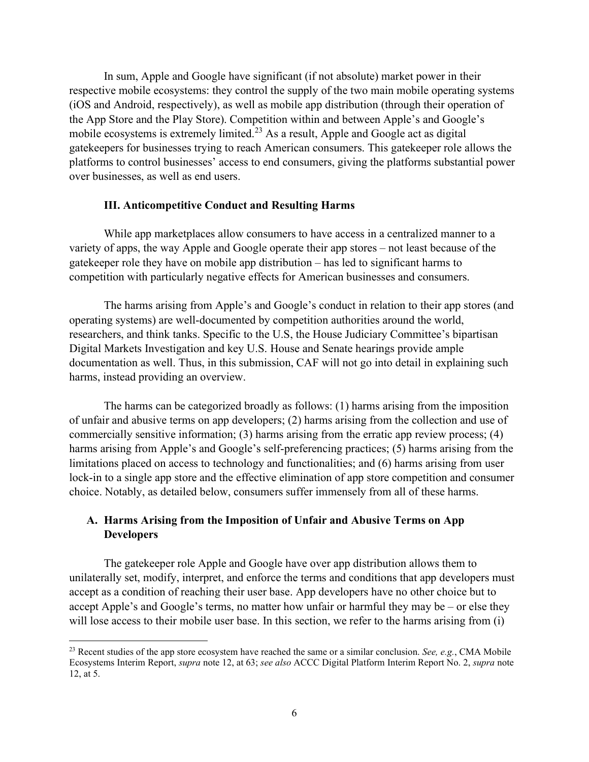In sum, Apple and Google have significant (if not absolute) market power in their respective mobile ecosystems: they control the supply of the two main mobile operating systems (iOS and Android, respectively), as well as mobile app distribution (through their operation of the App Store and the Play Store). Competition within and between Apple's and Google's mobile ecosystems is extremely limited.<sup>23</sup> As a result, Apple and Google act as digital gatekeepers for businesses trying to reach American consumers. This gatekeeper role allows the platforms to control businesses' access to end consumers, giving the platforms substantial power over businesses, as well as end users.

#### III. Anticompetitive Conduct and Resulting Harms

While app marketplaces allow consumers to have access in a centralized manner to a variety of apps, the way Apple and Google operate their app stores – not least because of the gatekeeper role they have on mobile app distribution – has led to significant harms to competition with particularly negative effects for American businesses and consumers.

The harms arising from Apple's and Google's conduct in relation to their app stores (and operating systems) are well-documented by competition authorities around the world, researchers, and think tanks. Specific to the U.S, the House Judiciary Committee's bipartisan Digital Markets Investigation and key U.S. House and Senate hearings provide ample documentation as well. Thus, in this submission, CAF will not go into detail in explaining such harms, instead providing an overview.

The harms can be categorized broadly as follows: (1) harms arising from the imposition of unfair and abusive terms on app developers; (2) harms arising from the collection and use of commercially sensitive information; (3) harms arising from the erratic app review process; (4) harms arising from Apple's and Google's self-preferencing practices; (5) harms arising from the limitations placed on access to technology and functionalities; and (6) harms arising from user lock-in to a single app store and the effective elimination of app store competition and consumer choice. Notably, as detailed below, consumers suffer immensely from all of these harms.

## A. Harms Arising from the Imposition of Unfair and Abusive Terms on App Developers

The gatekeeper role Apple and Google have over app distribution allows them to unilaterally set, modify, interpret, and enforce the terms and conditions that app developers must accept as a condition of reaching their user base. App developers have no other choice but to accept Apple's and Google's terms, no matter how unfair or harmful they may be – or else they will lose access to their mobile user base. In this section, we refer to the harms arising from (i)

<sup>&</sup>lt;sup>23</sup> Recent studies of the app store ecosystem have reached the same or a similar conclusion. See, e.g., CMA Mobile Ecosystems Interim Report, supra note 12, at 63; see also ACCC Digital Platform Interim Report No. 2, supra note 12, at 5.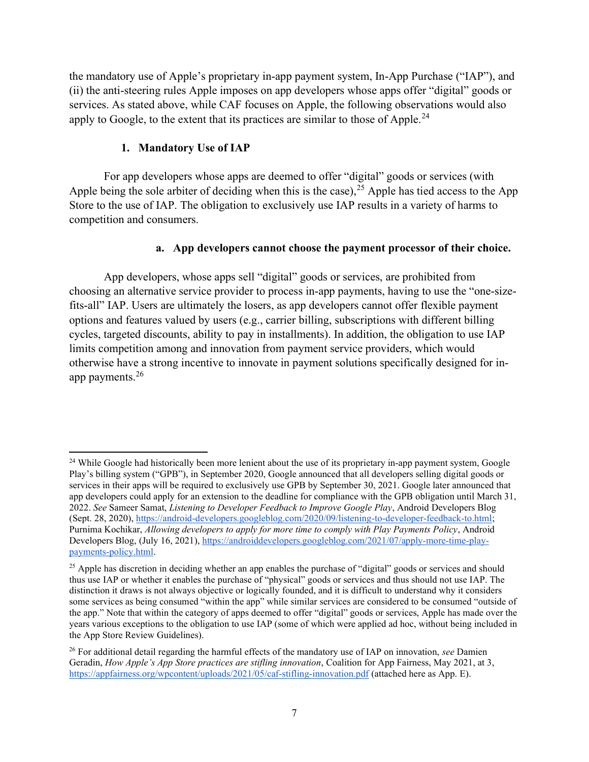the mandatory use of Apple's proprietary in-app payment system, In-App Purchase ("IAP"), and (ii) the anti-steering rules Apple imposes on app developers whose apps offer "digital" goods or services. As stated above, while CAF focuses on Apple, the following observations would also apply to Google, to the extent that its practices are similar to those of Apple.<sup>24</sup>

## 1. Mandatory Use of IAP

For app developers whose apps are deemed to offer "digital" goods or services (with Apple being the sole arbiter of deciding when this is the case),  $25$  Apple has tied access to the App Store to the use of IAP. The obligation to exclusively use IAP results in a variety of harms to competition and consumers.

## a. App developers cannot choose the payment processor of their choice.

App developers, whose apps sell "digital" goods or services, are prohibited from choosing an alternative service provider to process in-app payments, having to use the "one-sizefits-all" IAP. Users are ultimately the losers, as app developers cannot offer flexible payment options and features valued by users (e.g., carrier billing, subscriptions with different billing cycles, targeted discounts, ability to pay in installments). In addition, the obligation to use IAP limits competition among and innovation from payment service providers, which would otherwise have a strong incentive to innovate in payment solutions specifically designed for inapp payments.<sup>26</sup>

<sup>&</sup>lt;sup>24</sup> While Google had historically been more lenient about the use of its proprietary in-app payment system, Google Play's billing system ("GPB"), in September 2020, Google announced that all developers selling digital goods or services in their apps will be required to exclusively use GPB by September 30, 2021. Google later announced that app developers could apply for an extension to the deadline for compliance with the GPB obligation until March 31, 2022. See Sameer Samat, Listening to Developer Feedback to Improve Google Play, Android Developers Blog (Sept. 28, 2020), https://android-developers.googleblog.com/2020/09/listening-to-developer-feedback-to.html; Purnima Kochikar, Allowing developers to apply for more time to comply with Play Payments Policy, Android Developers Blog, (July 16, 2021), https://androiddevelopers.googleblog.com/2021/07/apply-more-time-playpayments-policy.html.

<sup>&</sup>lt;sup>25</sup> Apple has discretion in deciding whether an app enables the purchase of "digital" goods or services and should thus use IAP or whether it enables the purchase of "physical" goods or services and thus should not use IAP. The distinction it draws is not always objective or logically founded, and it is difficult to understand why it considers some services as being consumed "within the app" while similar services are considered to be consumed "outside of the app." Note that within the category of apps deemed to offer "digital" goods or services, Apple has made over the years various exceptions to the obligation to use IAP (some of which were applied ad hoc, without being included in the App Store Review Guidelines).

 $26$  For additional detail regarding the harmful effects of the mandatory use of IAP on innovation, see Damien Geradin, How Apple's App Store practices are stifling innovation, Coalition for App Fairness, May 2021, at 3, https://appfairness.org/wpcontent/uploads/2021/05/caf-stifling-innovation.pdf (attached here as App. E).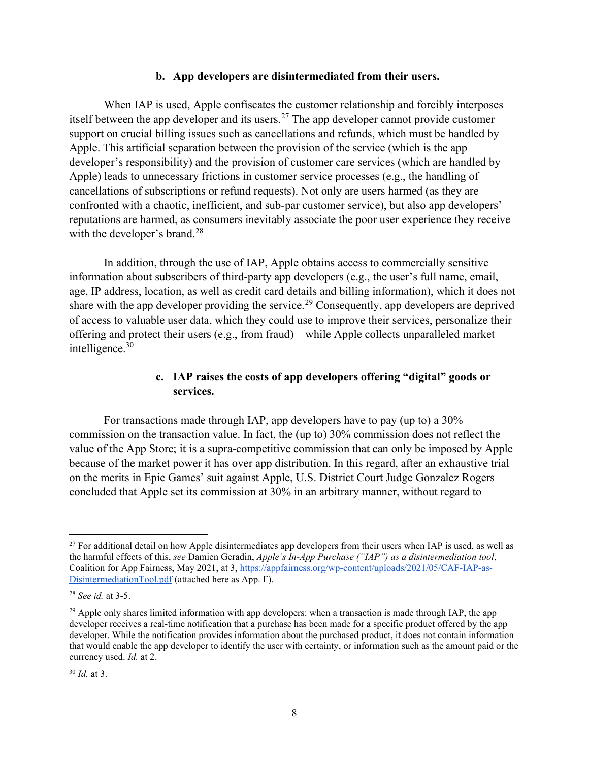#### b. App developers are disintermediated from their users.

When IAP is used, Apple confiscates the customer relationship and forcibly interposes itself between the app developer and its users.<sup>27</sup> The app developer cannot provide customer support on crucial billing issues such as cancellations and refunds, which must be handled by Apple. This artificial separation between the provision of the service (which is the app developer's responsibility) and the provision of customer care services (which are handled by Apple) leads to unnecessary frictions in customer service processes (e.g., the handling of cancellations of subscriptions or refund requests). Not only are users harmed (as they are confronted with a chaotic, inefficient, and sub-par customer service), but also app developers' reputations are harmed, as consumers inevitably associate the poor user experience they receive with the developer's brand.<sup>28</sup>

In addition, through the use of IAP, Apple obtains access to commercially sensitive information about subscribers of third-party app developers (e.g., the user's full name, email, age, IP address, location, as well as credit card details and billing information), which it does not share with the app developer providing the service.<sup>29</sup> Consequently, app developers are deprived of access to valuable user data, which they could use to improve their services, personalize their offering and protect their users (e.g., from fraud) – while Apple collects unparalleled market intelligence.<sup>30</sup>

# c. IAP raises the costs of app developers offering "digital" goods or services.

For transactions made through IAP, app developers have to pay (up to) a 30% commission on the transaction value. In fact, the (up to) 30% commission does not reflect the value of the App Store; it is a supra-competitive commission that can only be imposed by Apple because of the market power it has over app distribution. In this regard, after an exhaustive trial on the merits in Epic Games' suit against Apple, U.S. District Court Judge Gonzalez Rogers concluded that Apple set its commission at 30% in an arbitrary manner, without regard to

 $27$  For additional detail on how Apple disintermediates app developers from their users when IAP is used, as well as the harmful effects of this, see Damien Geradin, Apple's In-App Purchase ("IAP") as a disintermediation tool, Coalition for App Fairness, May 2021, at 3, https://appfairness.org/wp-content/uploads/2021/05/CAF-IAP-as-DisintermediationTool.pdf (attached here as App. F).

<sup>28</sup> See id. at 3-5.

<sup>&</sup>lt;sup>29</sup> Apple only shares limited information with app developers: when a transaction is made through IAP, the app developer receives a real-time notification that a purchase has been made for a specific product offered by the app developer. While the notification provides information about the purchased product, it does not contain information that would enable the app developer to identify the user with certainty, or information such as the amount paid or the currency used. Id. at 2.

 $30$  *Id.* at 3.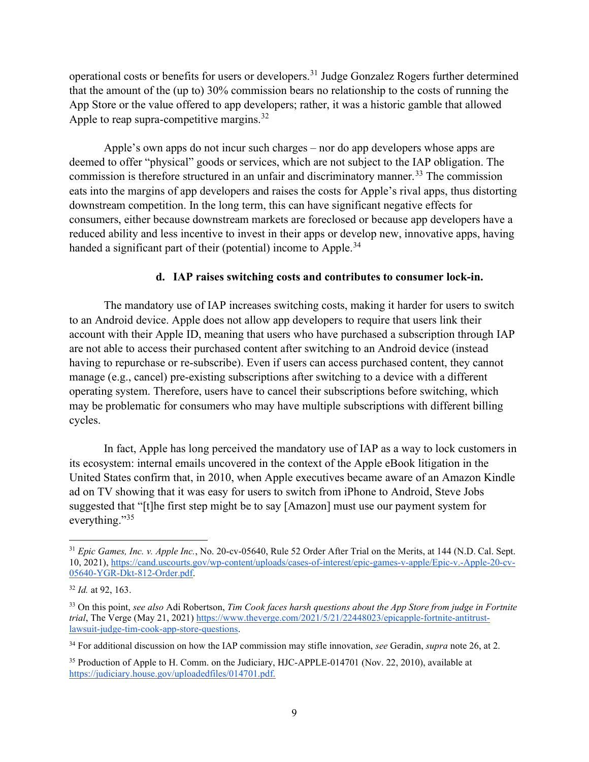operational costs or benefits for users or developers.<sup>31</sup> Judge Gonzalez Rogers further determined that the amount of the (up to) 30% commission bears no relationship to the costs of running the App Store or the value offered to app developers; rather, it was a historic gamble that allowed Apple to reap supra-competitive margins.<sup>32</sup>

Apple's own apps do not incur such charges – nor do app developers whose apps are deemed to offer "physical" goods or services, which are not subject to the IAP obligation. The commission is therefore structured in an unfair and discriminatory manner.<sup>33</sup> The commission eats into the margins of app developers and raises the costs for Apple's rival apps, thus distorting downstream competition. In the long term, this can have significant negative effects for consumers, either because downstream markets are foreclosed or because app developers have a reduced ability and less incentive to invest in their apps or develop new, innovative apps, having handed a significant part of their (potential) income to Apple.<sup>34</sup>

### d. IAP raises switching costs and contributes to consumer lock-in.

The mandatory use of IAP increases switching costs, making it harder for users to switch to an Android device. Apple does not allow app developers to require that users link their account with their Apple ID, meaning that users who have purchased a subscription through IAP are not able to access their purchased content after switching to an Android device (instead having to repurchase or re-subscribe). Even if users can access purchased content, they cannot manage (e.g., cancel) pre-existing subscriptions after switching to a device with a different operating system. Therefore, users have to cancel their subscriptions before switching, which may be problematic for consumers who may have multiple subscriptions with different billing cycles.

In fact, Apple has long perceived the mandatory use of IAP as a way to lock customers in its ecosystem: internal emails uncovered in the context of the Apple eBook litigation in the United States confirm that, in 2010, when Apple executives became aware of an Amazon Kindle ad on TV showing that it was easy for users to switch from iPhone to Android, Steve Jobs suggested that "[t]he first step might be to say [Amazon] must use our payment system for everything."<sup>35</sup>

<sup>&</sup>lt;sup>31</sup> Epic Games, Inc. v. Apple Inc., No. 20-cv-05640, Rule 52 Order After Trial on the Merits, at 144 (N.D. Cal. Sept. 10, 2021), https://cand.uscourts.gov/wp-content/uploads/cases-of-interest/epic-games-v-apple/Epic-v.-Apple-20-cv-05640-YGR-Dkt-812-Order.pdf.

 $32$  *Id.* at 92, 163.

 $33$  On this point, see also Adi Robertson, Tim Cook faces harsh questions about the App Store from judge in Fortnite trial, The Verge (May 21, 2021) https://www.theverge.com/2021/5/21/22448023/epicapple-fortnite-antitrustlawsuit-judge-tim-cook-app-store-questions.

<sup>&</sup>lt;sup>34</sup> For additional discussion on how the IAP commission may stifle innovation, see Geradin, supra note 26, at 2.

<sup>&</sup>lt;sup>35</sup> Production of Apple to H. Comm. on the Judiciary, HJC-APPLE-014701 (Nov. 22, 2010), available at https://judiciary.house.gov/uploadedfiles/014701.pdf.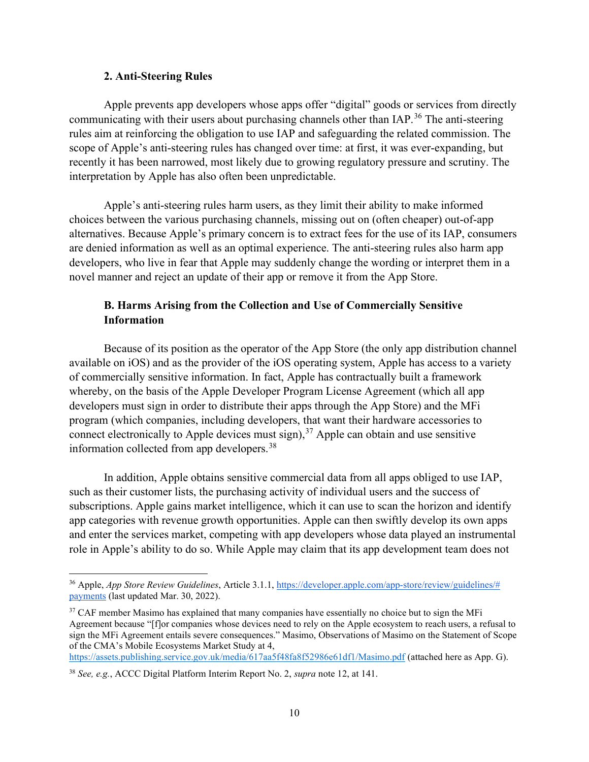#### 2. Anti-Steering Rules

Apple prevents app developers whose apps offer "digital" goods or services from directly communicating with their users about purchasing channels other than IAP.<sup>36</sup> The anti-steering rules aim at reinforcing the obligation to use IAP and safeguarding the related commission. The scope of Apple's anti-steering rules has changed over time: at first, it was ever-expanding, but recently it has been narrowed, most likely due to growing regulatory pressure and scrutiny. The interpretation by Apple has also often been unpredictable.

Apple's anti-steering rules harm users, as they limit their ability to make informed choices between the various purchasing channels, missing out on (often cheaper) out-of-app alternatives. Because Apple's primary concern is to extract fees for the use of its IAP, consumers are denied information as well as an optimal experience. The anti-steering rules also harm app developers, who live in fear that Apple may suddenly change the wording or interpret them in a novel manner and reject an update of their app or remove it from the App Store.

# B. Harms Arising from the Collection and Use of Commercially Sensitive Information

Because of its position as the operator of the App Store (the only app distribution channel available on iOS) and as the provider of the iOS operating system, Apple has access to a variety of commercially sensitive information. In fact, Apple has contractually built a framework whereby, on the basis of the Apple Developer Program License Agreement (which all app developers must sign in order to distribute their apps through the App Store) and the MFi program (which companies, including developers, that want their hardware accessories to connect electronically to Apple devices must sign),  $37$  Apple can obtain and use sensitive information collected from app developers.<sup>38</sup>

In addition, Apple obtains sensitive commercial data from all apps obliged to use IAP, such as their customer lists, the purchasing activity of individual users and the success of subscriptions. Apple gains market intelligence, which it can use to scan the horizon and identify app categories with revenue growth opportunities. Apple can then swiftly develop its own apps and enter the services market, competing with app developers whose data played an instrumental role in Apple's ability to do so. While Apple may claim that its app development team does not

https://assets.publishing.service.gov.uk/media/617aa5f48fa8f52986e61df1/Masimo.pdf (attached here as App. G).

<sup>&</sup>lt;sup>36</sup> Apple, App Store Review Guidelines, Article 3.1.1, https://developer.apple.com/app-store/review/guidelines/# payments (last updated Mar. 30, 2022).

<sup>&</sup>lt;sup>37</sup> CAF member Masimo has explained that many companies have essentially no choice but to sign the MFi Agreement because "[f]or companies whose devices need to rely on the Apple ecosystem to reach users, a refusal to sign the MFi Agreement entails severe consequences." Masimo, Observations of Masimo on the Statement of Scope of the CMA's Mobile Ecosystems Market Study at 4,

<sup>38</sup> See, e.g., ACCC Digital Platform Interim Report No. 2, supra note 12, at 141.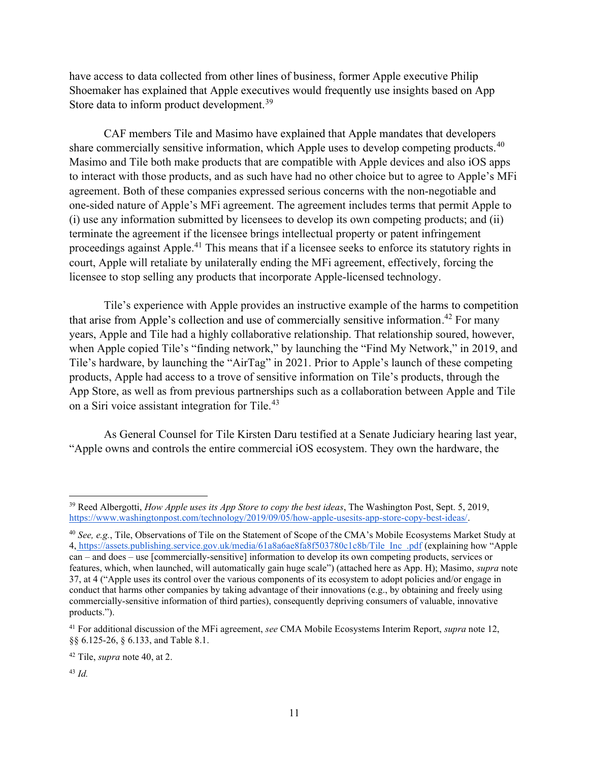have access to data collected from other lines of business, former Apple executive Philip Shoemaker has explained that Apple executives would frequently use insights based on App Store data to inform product development.<sup>39</sup>

CAF members Tile and Masimo have explained that Apple mandates that developers share commercially sensitive information, which Apple uses to develop competing products.<sup>40</sup> Masimo and Tile both make products that are compatible with Apple devices and also iOS apps to interact with those products, and as such have had no other choice but to agree to Apple's MFi agreement. Both of these companies expressed serious concerns with the non-negotiable and one-sided nature of Apple's MFi agreement. The agreement includes terms that permit Apple to (i) use any information submitted by licensees to develop its own competing products; and (ii) terminate the agreement if the licensee brings intellectual property or patent infringement proceedings against Apple.<sup>41</sup> This means that if a licensee seeks to enforce its statutory rights in court, Apple will retaliate by unilaterally ending the MFi agreement, effectively, forcing the licensee to stop selling any products that incorporate Apple-licensed technology.

Tile's experience with Apple provides an instructive example of the harms to competition that arise from Apple's collection and use of commercially sensitive information.<sup>42</sup> For many years, Apple and Tile had a highly collaborative relationship. That relationship soured, however, when Apple copied Tile's "finding network," by launching the "Find My Network," in 2019, and Tile's hardware, by launching the "AirTag" in 2021. Prior to Apple's launch of these competing products, Apple had access to a trove of sensitive information on Tile's products, through the App Store, as well as from previous partnerships such as a collaboration between Apple and Tile on a Siri voice assistant integration for Tile.<sup>43</sup>

As General Counsel for Tile Kirsten Daru testified at a Senate Judiciary hearing last year, "Apple owns and controls the entire commercial iOS ecosystem. They own the hardware, the

 $39$  Reed Albergotti, How Apple uses its App Store to copy the best ideas, The Washington Post, Sept. 5, 2019, https://www.washingtonpost.com/technology/2019/09/05/how-apple-usesits-app-store-copy-best-ideas/.

<sup>&</sup>lt;sup>40</sup> See, e.g., Tile, Observations of Tile on the Statement of Scope of the CMA's Mobile Ecosystems Market Study at 4, https://assets.publishing.service.gov.uk/media/61a8a6ae8fa8f503780c1c8b/Tile\_Inc\_.pdf (explaining how "Apple can – and does – use [commercially-sensitive] information to develop its own competing products, services or features, which, when launched, will automatically gain huge scale") (attached here as App. H); Masimo, supra note 37, at 4 ("Apple uses its control over the various components of its ecosystem to adopt policies and/or engage in conduct that harms other companies by taking advantage of their innovations (e.g., by obtaining and freely using commercially-sensitive information of third parties), consequently depriving consumers of valuable, innovative products.").

 $41$  For additional discussion of the MFi agreement, see CMA Mobile Ecosystems Interim Report, supra note 12, §§ 6.125-26, § 6.133, and Table 8.1.

 $42$  Tile, *supra* note 40, at 2.

 $43$  Id.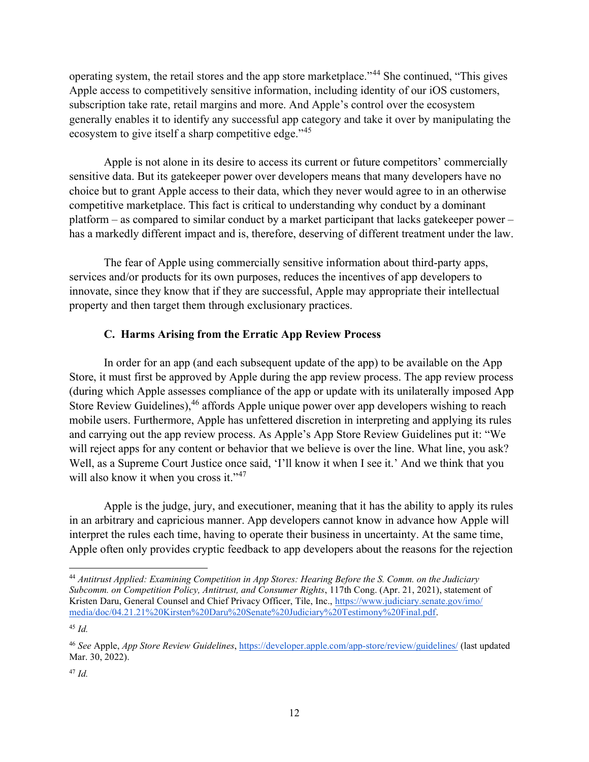operating system, the retail stores and the app store marketplace."<sup>44</sup> She continued, "This gives Apple access to competitively sensitive information, including identity of our iOS customers, subscription take rate, retail margins and more. And Apple's control over the ecosystem generally enables it to identify any successful app category and take it over by manipulating the ecosystem to give itself a sharp competitive edge."<sup>45</sup>

Apple is not alone in its desire to access its current or future competitors' commercially sensitive data. But its gatekeeper power over developers means that many developers have no choice but to grant Apple access to their data, which they never would agree to in an otherwise competitive marketplace. This fact is critical to understanding why conduct by a dominant platform – as compared to similar conduct by a market participant that lacks gatekeeper power – has a markedly different impact and is, therefore, deserving of different treatment under the law.

The fear of Apple using commercially sensitive information about third-party apps, services and/or products for its own purposes, reduces the incentives of app developers to innovate, since they know that if they are successful, Apple may appropriate their intellectual property and then target them through exclusionary practices.

# C. Harms Arising from the Erratic App Review Process

In order for an app (and each subsequent update of the app) to be available on the App Store, it must first be approved by Apple during the app review process. The app review process (during which Apple assesses compliance of the app or update with its unilaterally imposed App Store Review Guidelines),<sup>46</sup> affords Apple unique power over app developers wishing to reach mobile users. Furthermore, Apple has unfettered discretion in interpreting and applying its rules and carrying out the app review process. As Apple's App Store Review Guidelines put it: "We will reject apps for any content or behavior that we believe is over the line. What line, you ask? Well, as a Supreme Court Justice once said, 'I'll know it when I see it.' And we think that you will also know it when you cross it."<sup>47</sup>

Apple is the judge, jury, and executioner, meaning that it has the ability to apply its rules in an arbitrary and capricious manner. App developers cannot know in advance how Apple will interpret the rules each time, having to operate their business in uncertainty. At the same time, Apple often only provides cryptic feedback to app developers about the reasons for the rejection

<sup>&</sup>lt;sup>44</sup> Antitrust Applied: Examining Competition in App Stores: Hearing Before the S. Comm. on the Judiciary Subcomm. on Competition Policy, Antitrust, and Consumer Rights, 117th Cong. (Apr. 21, 2021), statement of Kristen Daru, General Counsel and Chief Privacy Officer, Tile, Inc., https://www.judiciary.senate.gov/imo/ media/doc/04.21.21%20Kirsten%20Daru%20Senate%20Judiciary%20Testimony%20Final.pdf.

 $45$  Id.

<sup>46</sup> See Apple, App Store Review Guidelines, https://developer.apple.com/app-store/review/guidelines/ (last updated Mar. 30, 2022).

 $47$  Id.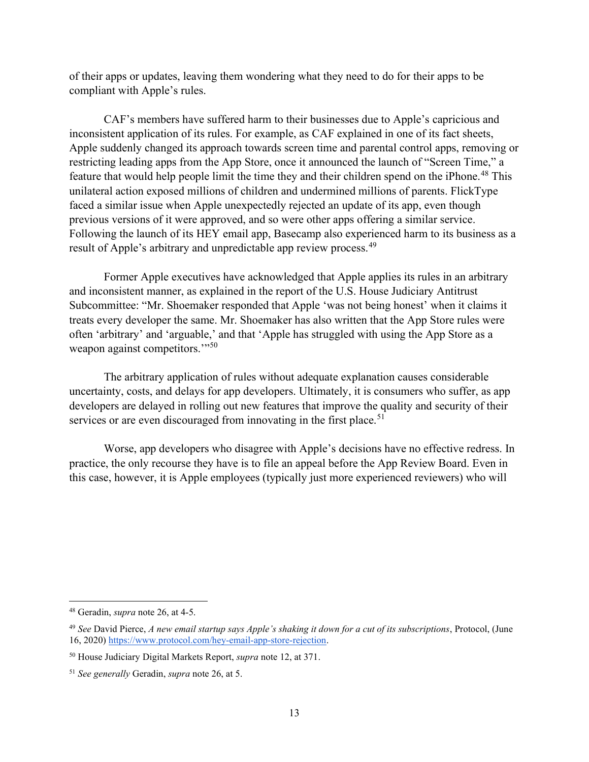of their apps or updates, leaving them wondering what they need to do for their apps to be compliant with Apple's rules.

CAF's members have suffered harm to their businesses due to Apple's capricious and inconsistent application of its rules. For example, as CAF explained in one of its fact sheets, Apple suddenly changed its approach towards screen time and parental control apps, removing or restricting leading apps from the App Store, once it announced the launch of "Screen Time," a feature that would help people limit the time they and their children spend on the iPhone.<sup>48</sup> This unilateral action exposed millions of children and undermined millions of parents. FlickType faced a similar issue when Apple unexpectedly rejected an update of its app, even though previous versions of it were approved, and so were other apps offering a similar service. Following the launch of its HEY email app, Basecamp also experienced harm to its business as a result of Apple's arbitrary and unpredictable app review process.<sup>49</sup>

Former Apple executives have acknowledged that Apple applies its rules in an arbitrary and inconsistent manner, as explained in the report of the U.S. House Judiciary Antitrust Subcommittee: "Mr. Shoemaker responded that Apple 'was not being honest' when it claims it treats every developer the same. Mr. Shoemaker has also written that the App Store rules were often 'arbitrary' and 'arguable,' and that 'Apple has struggled with using the App Store as a weapon against competitors."<sup>50</sup>

The arbitrary application of rules without adequate explanation causes considerable uncertainty, costs, and delays for app developers. Ultimately, it is consumers who suffer, as app developers are delayed in rolling out new features that improve the quality and security of their services or are even discouraged from innovating in the first place.<sup>51</sup>

Worse, app developers who disagree with Apple's decisions have no effective redress. In practice, the only recourse they have is to file an appeal before the App Review Board. Even in this case, however, it is Apple employees (typically just more experienced reviewers) who will

<sup>48</sup> Geradin, supra note 26, at 4-5.

 $49$  See David Pierce, A new email startup says Apple's shaking it down for a cut of its subscriptions, Protocol, (June 16, 2020) https://www.protocol.com/hey-email-app-store-rejection.

<sup>50</sup> House Judiciary Digital Markets Report, supra note 12, at 371.

<sup>51</sup> See generally Geradin, supra note 26, at 5.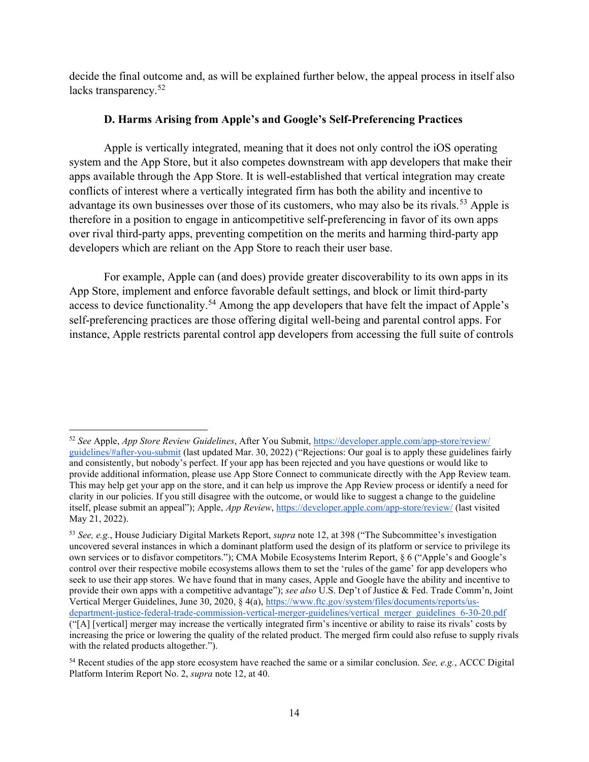decide the final outcome and, as will be explained further below, the appeal process in itself also lacks transparency.<sup>52</sup>

# D. Harms Arising from Apple's and Google's Self-Preferencing Practices

Apple is vertically integrated, meaning that it does not only control the iOS operating system and the App Store, but it also competes downstream with app developers that make their apps available through the App Store. It is well-established that vertical integration may create conflicts of interest where a vertically integrated firm has both the ability and incentive to advantage its own businesses over those of its customers, who may also be its rivals.<sup>53</sup> Apple is therefore in a position to engage in anticompetitive self-preferencing in favor of its own apps over rival third-party apps, preventing competition on the merits and harming third-party app developers which are reliant on the App Store to reach their user base.

For example, Apple can (and does) provide greater discoverability to its own apps in its App Store, implement and enforce favorable default settings, and block or limit third-party access to device functionality.<sup>54</sup> Among the app developers that have felt the impact of Apple's self-preferencing practices are those offering digital well-being and parental control apps. For instance, Apple restricts parental control app developers from accessing the full suite of controls

<sup>52</sup> See Apple, App Store Review Guidelines, After You Submit, https://developer.apple.com/app-store/review/ guidelines/#after-you-submit (last updated Mar. 30, 2022) ("Rejections: Our goal is to apply these guidelines fairly and consistently, but nobody's perfect. If your app has been rejected and you have questions or would like to provide additional information, please use App Store Connect to communicate directly with the App Review team. This may help get your app on the store, and it can help us improve the App Review process or identify a need for clarity in our policies. If you still disagree with the outcome, or would like to suggest a change to the guideline itself, please submit an appeal"); Apple, App Review, https://developer.apple.com/app-store/review/ (last visited May 21, 2022).

<sup>53</sup> See, e.g., House Judiciary Digital Markets Report, *supra* note 12, at 398 ("The Subcommittee's investigation uncovered several instances in which a dominant platform used the design of its platform or service to privilege its own services or to disfavor competitors."); CMA Mobile Ecosystems Interim Report, § 6 ("Apple's and Google's control over their respective mobile ecosystems allows them to set the 'rules of the game' for app developers who seek to use their app stores. We have found that in many cases, Apple and Google have the ability and incentive to provide their own apps with a competitive advantage"); see also U.S. Dep't of Justice & Fed. Trade Comm'n, Joint Vertical Merger Guidelines, June 30, 2020, § 4(a), https://www.ftc.gov/system/files/documents/reports/usdepartment-justice-federal-trade-commission-vertical-merger-guidelines/vertical\_merger\_guidelines\_6-30-20.pdf ("[A] [vertical] merger may increase the vertically integrated firm's incentive or ability to raise its rivals' costs by increasing the price or lowering the quality of the related product. The merged firm could also refuse to supply rivals with the related products altogether.").

 $54$  Recent studies of the app store ecosystem have reached the same or a similar conclusion. See, e.g., ACCC Digital Platform Interim Report No. 2, supra note 12, at 40.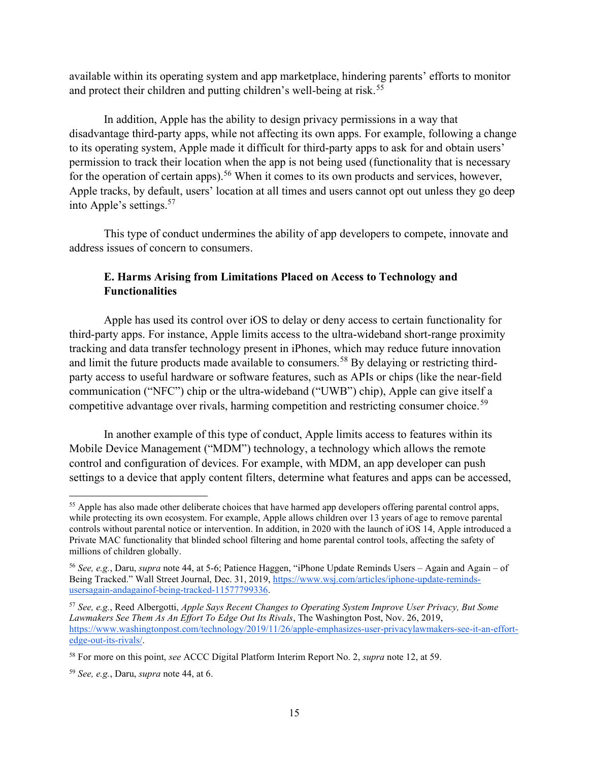available within its operating system and app marketplace, hindering parents' efforts to monitor and protect their children and putting children's well-being at risk.<sup>55</sup>

In addition, Apple has the ability to design privacy permissions in a way that disadvantage third-party apps, while not affecting its own apps. For example, following a change to its operating system, Apple made it difficult for third-party apps to ask for and obtain users' permission to track their location when the app is not being used (functionality that is necessary for the operation of certain apps).<sup>56</sup> When it comes to its own products and services, however, Apple tracks, by default, users' location at all times and users cannot opt out unless they go deep into Apple's settings.<sup>57</sup>

This type of conduct undermines the ability of app developers to compete, innovate and address issues of concern to consumers.

# E. Harms Arising from Limitations Placed on Access to Technology and Functionalities

Apple has used its control over iOS to delay or deny access to certain functionality for third-party apps. For instance, Apple limits access to the ultra-wideband short-range proximity tracking and data transfer technology present in iPhones, which may reduce future innovation and limit the future products made available to consumers.<sup>58</sup> By delaying or restricting thirdparty access to useful hardware or software features, such as APIs or chips (like the near-field communication ("NFC") chip or the ultra-wideband ("UWB") chip), Apple can give itself a competitive advantage over rivals, harming competition and restricting consumer choice.<sup>59</sup>

In another example of this type of conduct, Apple limits access to features within its Mobile Device Management ("MDM") technology, a technology which allows the remote control and configuration of devices. For example, with MDM, an app developer can push settings to a device that apply content filters, determine what features and apps can be accessed,

<sup>&</sup>lt;sup>55</sup> Apple has also made other deliberate choices that have harmed app developers offering parental control apps, while protecting its own ecosystem. For example, Apple allows children over 13 years of age to remove parental controls without parental notice or intervention. In addition, in 2020 with the launch of iOS 14, Apple introduced a Private MAC functionality that blinded school filtering and home parental control tools, affecting the safety of millions of children globally.

<sup>56</sup> See, e.g., Daru, supra note 44, at 5-6; Patience Haggen, "iPhone Update Reminds Users – Again and Again – of Being Tracked." Wall Street Journal, Dec. 31, 2019, https://www.wsj.com/articles/iphone-update-remindsusersagain-andagainof-being-tracked-11577799336.

<sup>57</sup> See, e.g., Reed Albergotti, Apple Says Recent Changes to Operating System Improve User Privacy, But Some Lawmakers See Them As An Effort To Edge Out Its Rivals, The Washington Post, Nov. 26, 2019, https://www.washingtonpost.com/technology/2019/11/26/apple-emphasizes-user-privacylawmakers-see-it-an-effortedge-out-its-rivals/.

<sup>&</sup>lt;sup>58</sup> For more on this point, see ACCC Digital Platform Interim Report No. 2, *supra* note 12, at 59.

 $59$  See, e.g., Daru, supra note 44, at 6.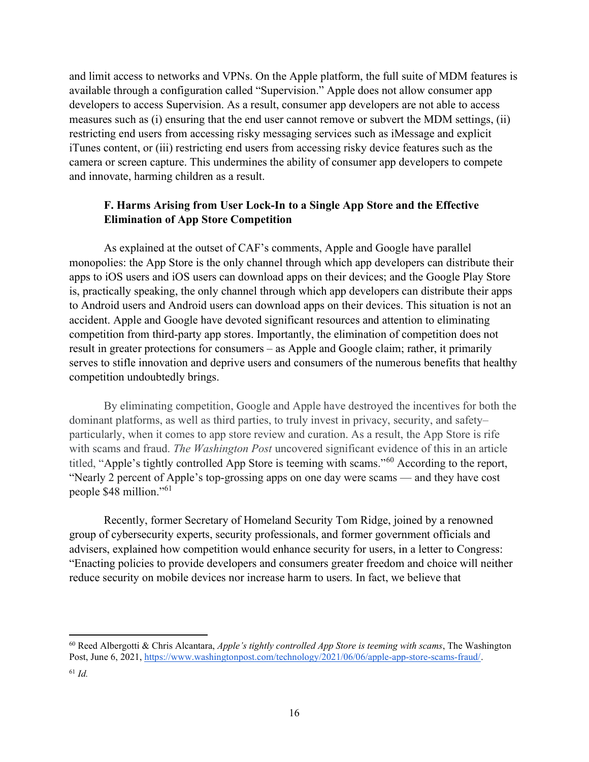and limit access to networks and VPNs. On the Apple platform, the full suite of MDM features is available through a configuration called "Supervision." Apple does not allow consumer app developers to access Supervision. As a result, consumer app developers are not able to access measures such as (i) ensuring that the end user cannot remove or subvert the MDM settings, (ii) restricting end users from accessing risky messaging services such as iMessage and explicit iTunes content, or (iii) restricting end users from accessing risky device features such as the camera or screen capture. This undermines the ability of consumer app developers to compete and innovate, harming children as a result.

# F. Harms Arising from User Lock-In to a Single App Store and the Effective Elimination of App Store Competition

As explained at the outset of CAF's comments, Apple and Google have parallel monopolies: the App Store is the only channel through which app developers can distribute their apps to iOS users and iOS users can download apps on their devices; and the Google Play Store is, practically speaking, the only channel through which app developers can distribute their apps to Android users and Android users can download apps on their devices. This situation is not an accident. Apple and Google have devoted significant resources and attention to eliminating competition from third-party app stores. Importantly, the elimination of competition does not result in greater protections for consumers – as Apple and Google claim; rather, it primarily serves to stifle innovation and deprive users and consumers of the numerous benefits that healthy competition undoubtedly brings.

By eliminating competition, Google and Apple have destroyed the incentives for both the dominant platforms, as well as third parties, to truly invest in privacy, security, and safety– particularly, when it comes to app store review and curation. As a result, the App Store is rife with scams and fraud. The Washington Post uncovered significant evidence of this in an article titled, "Apple's tightly controlled App Store is teeming with scams."<sup>60</sup> According to the report, "Nearly 2 percent of Apple's top-grossing apps on one day were scams — and they have cost people \$48 million."<sup>61</sup>

Recently, former Secretary of Homeland Security Tom Ridge, joined by a renowned group of cybersecurity experts, security professionals, and former government officials and advisers, explained how competition would enhance security for users, in a letter to Congress: "Enacting policies to provide developers and consumers greater freedom and choice will neither reduce security on mobile devices nor increase harm to users. In fact, we believe that

 $60$  Reed Albergotti & Chris Alcantara, Apple's tightly controlled App Store is teeming with scams, The Washington Post, June 6, 2021, https://www.washingtonpost.com/technology/2021/06/06/apple-app-store-scams-fraud/.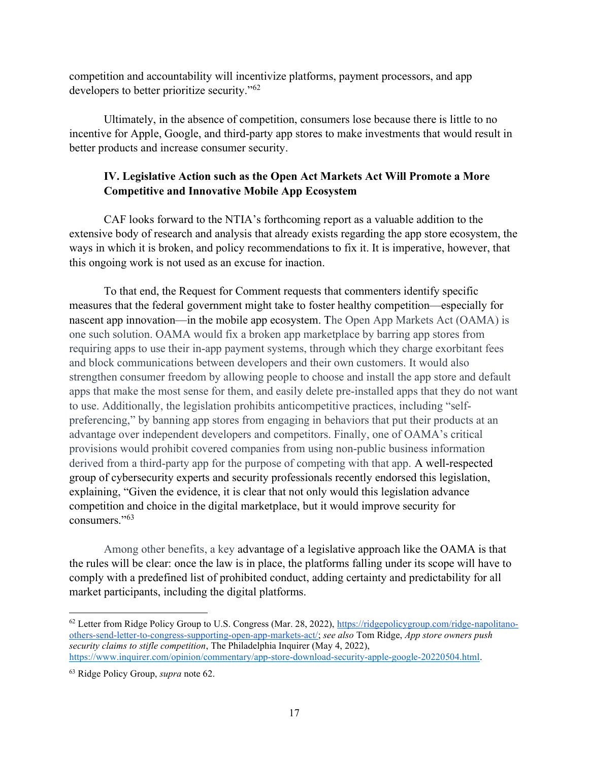competition and accountability will incentivize platforms, payment processors, and app developers to better prioritize security."<sup>62</sup>

Ultimately, in the absence of competition, consumers lose because there is little to no incentive for Apple, Google, and third-party app stores to make investments that would result in better products and increase consumer security.

# IV. Legislative Action such as the Open Act Markets Act Will Promote a More Competitive and Innovative Mobile App Ecosystem

CAF looks forward to the NTIA's forthcoming report as a valuable addition to the extensive body of research and analysis that already exists regarding the app store ecosystem, the ways in which it is broken, and policy recommendations to fix it. It is imperative, however, that this ongoing work is not used as an excuse for inaction.

To that end, the Request for Comment requests that commenters identify specific measures that the federal government might take to foster healthy competition—especially for nascent app innovation—in the mobile app ecosystem. The Open App Markets Act (OAMA) is one such solution. OAMA would fix a broken app marketplace by barring app stores from requiring apps to use their in-app payment systems, through which they charge exorbitant fees and block communications between developers and their own customers. It would also strengthen consumer freedom by allowing people to choose and install the app store and default apps that make the most sense for them, and easily delete pre-installed apps that they do not want to use. Additionally, the legislation prohibits anticompetitive practices, including "selfpreferencing," by banning app stores from engaging in behaviors that put their products at an advantage over independent developers and competitors. Finally, one of OAMA's critical provisions would prohibit covered companies from using non-public business information derived from a third-party app for the purpose of competing with that app. A well-respected group of cybersecurity experts and security professionals recently endorsed this legislation, explaining, "Given the evidence, it is clear that not only would this legislation advance competition and choice in the digital marketplace, but it would improve security for consumers."<sup>63</sup>

Among other benefits, a key advantage of a legislative approach like the OAMA is that the rules will be clear: once the law is in place, the platforms falling under its scope will have to comply with a predefined list of prohibited conduct, adding certainty and predictability for all market participants, including the digital platforms.

<sup>62</sup> Letter from Ridge Policy Group to U.S. Congress (Mar. 28, 2022), https://ridgepolicygroup.com/ridge-napolitanoothers-send-letter-to-congress-supporting-open-app-markets-act/; see also Tom Ridge, App store owners push security claims to stifle competition, The Philadelphia Inquirer (May 4, 2022), https://www.inquirer.com/opinion/commentary/app-store-download-security-apple-google-20220504.html.

<sup>&</sup>lt;sup>63</sup> Ridge Policy Group, *supra* note 62.